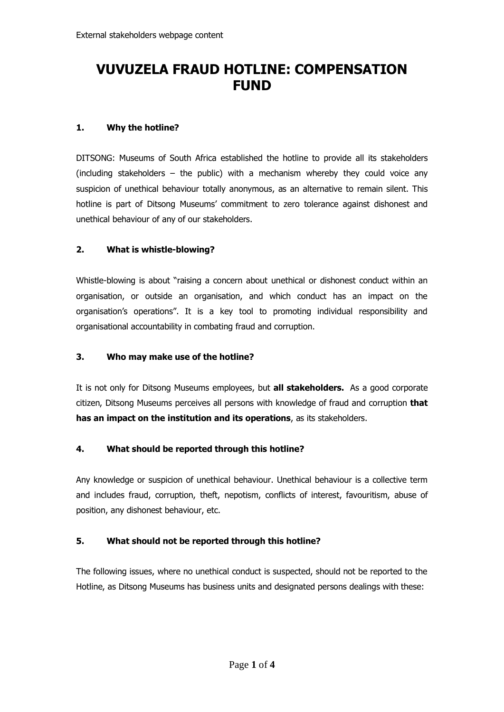# **VUVUZELA FRAUD HOTLINE: COMPENSATION FUND**

### **1. Why the hotline?**

DITSONG: Museums of South Africa established the hotline to provide all its stakeholders (including stakeholders – the public) with a mechanism whereby they could voice any suspicion of unethical behaviour totally anonymous, as an alternative to remain silent. This hotline is part of Ditsong Museums' commitment to zero tolerance against dishonest and unethical behaviour of any of our stakeholders.

## **2. What is whistle-blowing?**

Whistle-blowing is about "raising a concern about unethical or dishonest conduct within an organisation, or outside an organisation, and which conduct has an impact on the organisation's operations". It is a key tool to promoting individual responsibility and organisational accountability in combating fraud and corruption.

#### **3. Who may make use of the hotline?**

It is not only for Ditsong Museums employees, but **all stakeholders.** As a good corporate citizen, Ditsong Museums perceives all persons with knowledge of fraud and corruption **that has an impact on the institution and its operations**, as its stakeholders.

## **4. What should be reported through this hotline?**

Any knowledge or suspicion of unethical behaviour. Unethical behaviour is a collective term and includes fraud, corruption, theft, nepotism, conflicts of interest, favouritism, abuse of position, any dishonest behaviour, etc.

## **5. What should not be reported through this hotline?**

The following issues, where no unethical conduct is suspected, should not be reported to the Hotline, as Ditsong Museums has business units and designated persons dealings with these: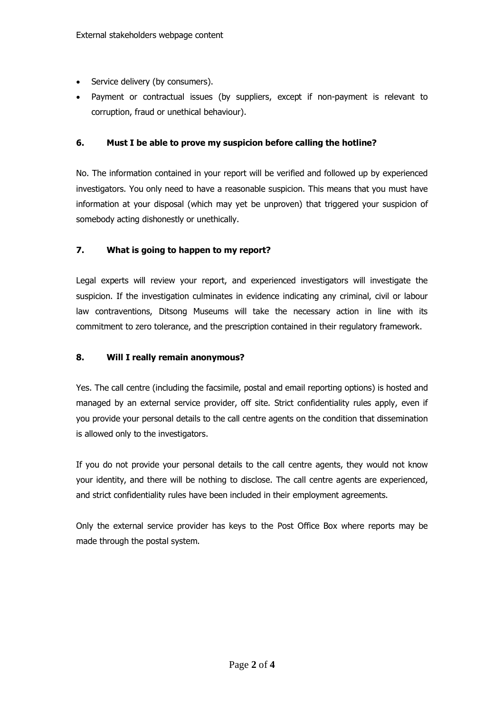- Service delivery (by consumers).
- Payment or contractual issues (by suppliers, except if non-payment is relevant to corruption, fraud or unethical behaviour).

## **6. Must I be able to prove my suspicion before calling the hotline?**

No. The information contained in your report will be verified and followed up by experienced investigators. You only need to have a reasonable suspicion. This means that you must have information at your disposal (which may yet be unproven) that triggered your suspicion of somebody acting dishonestly or unethically.

## **7. What is going to happen to my report?**

Legal experts will review your report, and experienced investigators will investigate the suspicion. If the investigation culminates in evidence indicating any criminal, civil or labour law contraventions, Ditsong Museums will take the necessary action in line with its commitment to zero tolerance, and the prescription contained in their regulatory framework.

### **8. Will I really remain anonymous?**

Yes. The call centre (including the facsimile, postal and email reporting options) is hosted and managed by an external service provider, off site. Strict confidentiality rules apply, even if you provide your personal details to the call centre agents on the condition that dissemination is allowed only to the investigators.

If you do not provide your personal details to the call centre agents, they would not know your identity, and there will be nothing to disclose. The call centre agents are experienced, and strict confidentiality rules have been included in their employment agreements.

Only the external service provider has keys to the Post Office Box where reports may be made through the postal system.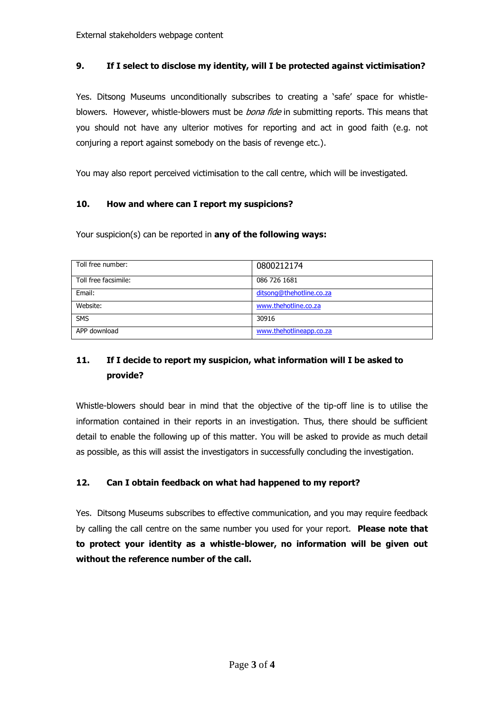## **9. If I select to disclose my identity, will I be protected against victimisation?**

Yes. Ditsong Museums unconditionally subscribes to creating a 'safe' space for whistleblowers. However, whistle-blowers must be *bona fide* in submitting reports. This means that you should not have any ulterior motives for reporting and act in good faith (e.g. not conjuring a report against somebody on the basis of revenge etc.).

You may also report perceived victimisation to the call centre, which will be investigated.

#### **10. How and where can I report my suspicions?**

Your suspicion(s) can be reported in **any of the following ways:** 

| Toll free number:    | 0800212174               |
|----------------------|--------------------------|
| Toll free facsimile: | 086 726 1681             |
| Email:               | ditsong@thehotline.co.za |
| Website:             | www.thehotline.co.za     |
| <b>SMS</b>           | 30916                    |
| APP download         | www.thehotlineapp.co.za  |

## **11. If I decide to report my suspicion, what information will I be asked to provide?**

Whistle-blowers should bear in mind that the objective of the tip-off line is to utilise the information contained in their reports in an investigation. Thus, there should be sufficient detail to enable the following up of this matter. You will be asked to provide as much detail as possible, as this will assist the investigators in successfully concluding the investigation.

#### **12. Can I obtain feedback on what had happened to my report?**

Yes. Ditsong Museums subscribes to effective communication, and you may require feedback by calling the call centre on the same number you used for your report. **Please note that to protect your identity as a whistle-blower, no information will be given out without the reference number of the call.**